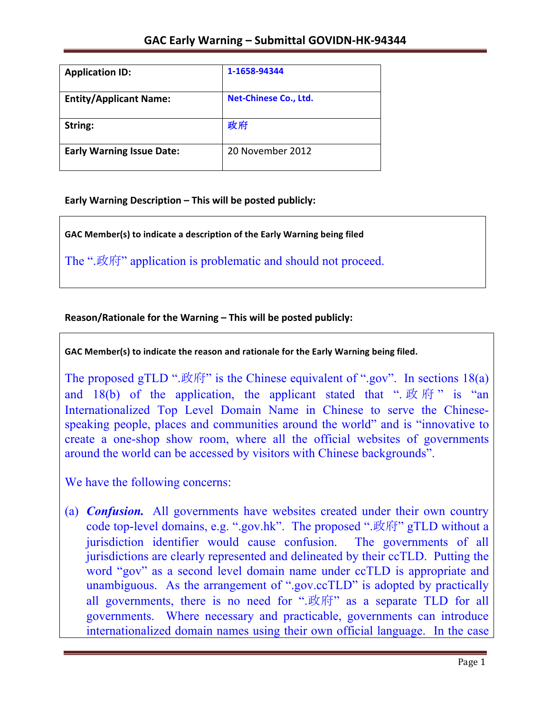| <b>Application ID:</b>           | 1-1658-94344                 |
|----------------------------------|------------------------------|
| <b>Entity/Applicant Name:</b>    | <b>Net-Chinese Co., Ltd.</b> |
| String:                          | 政府                           |
| <b>Early Warning Issue Date:</b> | 20 November 2012             |

**Early Warning Description – This will be posted publicly:** 

GAC Member(s) to indicate a description of the Early Warning being filed

The ".政府" application is problematic and should not proceed.

## Reason/Rationale for the Warning – This will be posted publicly:

GAC Member(s) to indicate the reason and rationale for the Early Warning being filed.

The proposed gTLD ".政府" is the Chinese equivalent of ".gov". In sections  $18(a)$ and 18(b) of the application, the applicant stated that " $\mathbb{R}$   $\mathbb{R}$   $\mathbb{R}$  " is "an Internationalized Top Level Domain Name in Chinese to serve the Chinesespeaking people, places and communities around the world" and is "innovative to create a one-shop show room, where all the official websites of governments around the world can be accessed by visitors with Chinese backgrounds".

We have the following concerns:

(a) *Confusion.* All governments have websites created under their own country code top-level domains, e.g. ".gov.hk". The proposed ".政府" gTLD without a jurisdiction identifier would cause confusion. The governments of all jurisdictions are clearly represented and delineated by their ccTLD. Putting the word "gov" as a second level domain name under ccTLD is appropriate and unambiguous. As the arrangement of ".gov.ccTLD" is adopted by practically all governments, there is no need for ".政府" as a separate TLD for all governments. Where necessary and practicable, governments can introduce internationalized domain names using their own official language. In the case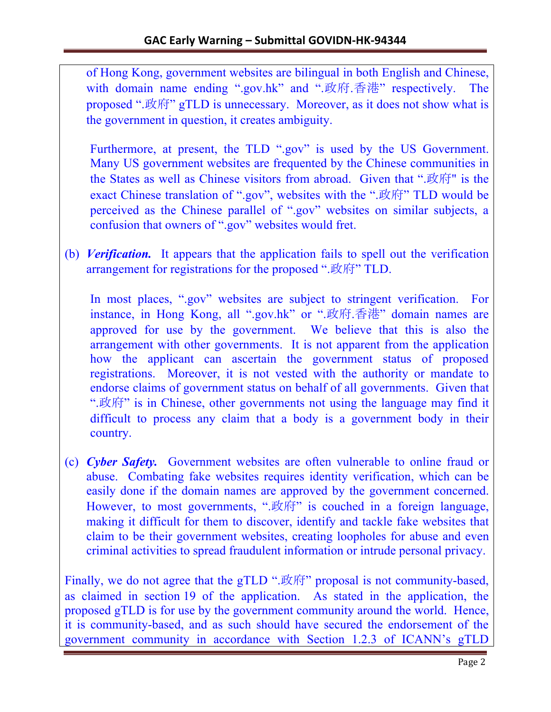of Hong Kong, government websites are bilingual in both English and Chinese, with domain name ending ".gov.hk" and ".政府.香港" respectively. The proposed ".政府" gTLD is unnecessary. Moreover, as it does not show what is the government in question, it creates ambiguity.

Furthermore, at present, the TLD ".gov" is used by the US Government. Many US government websites are frequented by the Chinese communities in the States as well as Chinese visitors from abroad. Given that ".政府" is the exact Chinese translation of ".gov", websites with the ".政府" TLD would be perceived as the Chinese parallel of ".gov" websites on similar subjects, a confusion that owners of ".gov" websites would fret.

(b) *Verification.* It appears that the application fails to spell out the verification arrangement for registrations for the proposed ".政府" TLD.

In most places, ".gov" websites are subject to stringent verification. For instance, in Hong Kong, all ".gov.hk" or ".政府.香港" domain names are approved for use by the government. We believe that this is also the arrangement with other governments. It is not apparent from the application how the applicant can ascertain the government status of proposed registrations. Moreover, it is not vested with the authority or mandate to endorse claims of government status on behalf of all governments. Given that ".政府" is in Chinese, other governments not using the language may find it difficult to process any claim that a body is a government body in their country.

(c) *Cyber Safety.* Government websites are often vulnerable to online fraud or abuse. Combating fake websites requires identity verification, which can be easily done if the domain names are approved by the government concerned. However, to most governments, ".政府" is couched in a foreign language, making it difficult for them to discover, identify and tackle fake websites that claim to be their government websites, creating loopholes for abuse and even criminal activities to spread fraudulent information or intrude personal privacy.

Finally, we do not agree that the gTLD ".政府" proposal is not community-based, as claimed in section 19 of the application. As stated in the application, the proposed gTLD is for use by the government community around the world. Hence, it is community-based, and as such should have secured the endorsement of the government community in accordance with Section 1.2.3 of ICANN's gTLD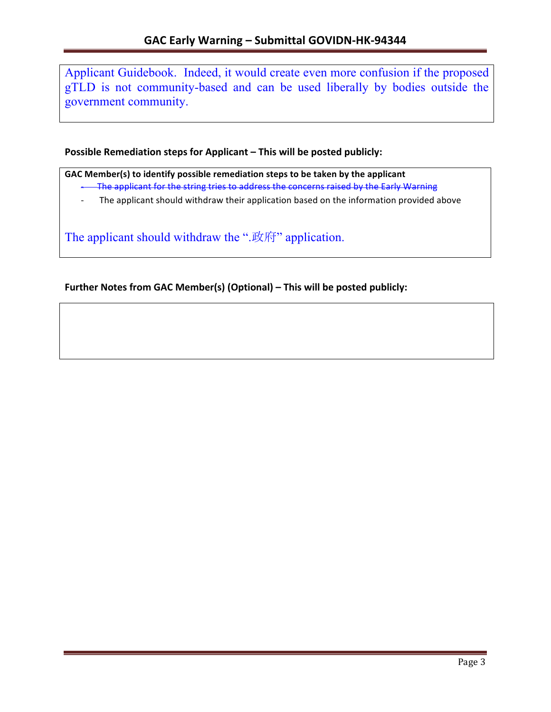Applicant Guidebook. Indeed, it would create even more confusion if the proposed gTLD is not community-based and can be used liberally by bodies outside the government community.

**Possible Remediation steps for Applicant – This will be posted publicly:** 

GAC Member(s) to identify possible remediation steps to be taken by the applicant - The applicant for the string tries to address the concerns raised by the Early Warning

- The applicant should withdraw their application based on the information provided above

The applicant should withdraw the ".政府" application.

**Further Notes from GAC Member(s) (Optional) – This will be posted publicly:**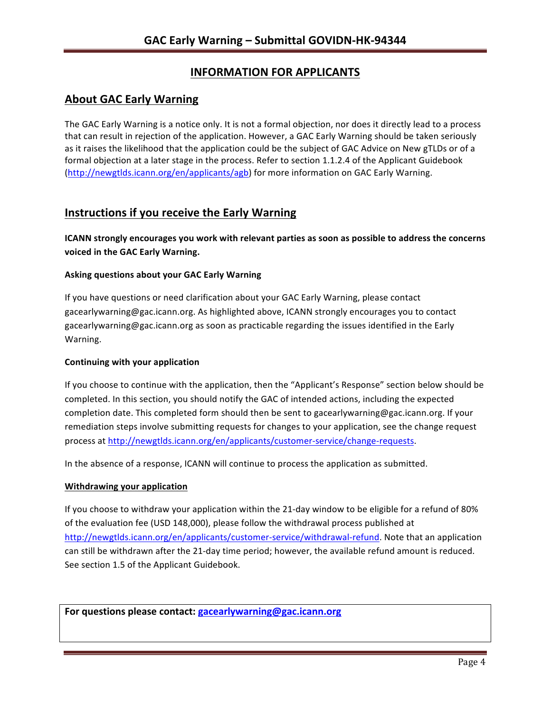# **INFORMATION FOR APPLICANTS**

### **About GAC Early Warning**

The GAC Early Warning is a notice only. It is not a formal objection, nor does it directly lead to a process that can result in rejection of the application. However, a GAC Early Warning should be taken seriously as it raises the likelihood that the application could be the subject of GAC Advice on New gTLDs or of a formal objection at a later stage in the process. Refer to section 1.1.2.4 of the Applicant Guidebook (http://newgtlds.icann.org/en/applicants/agb) for more information on GAC Early Warning.

## **Instructions if you receive the Early Warning**

**ICANN** strongly encourages you work with relevant parties as soon as possible to address the concerns **voiced in the GAC Early Warning.** 

### **Asking questions about your GAC Early Warning**

If you have questions or need clarification about your GAC Early Warning, please contact gacearlywarning@gac.icann.org. As highlighted above, ICANN strongly encourages you to contact gacearlywarning@gac.icann.org as soon as practicable regarding the issues identified in the Early Warning. 

### **Continuing with your application**

If you choose to continue with the application, then the "Applicant's Response" section below should be completed. In this section, you should notify the GAC of intended actions, including the expected completion date. This completed form should then be sent to gacearlywarning@gac.icann.org. If your remediation steps involve submitting requests for changes to your application, see the change request process at http://newgtlds.icann.org/en/applicants/customer-service/change-requests.

In the absence of a response, ICANN will continue to process the application as submitted.

### **Withdrawing your application**

If you choose to withdraw your application within the 21-day window to be eligible for a refund of 80% of the evaluation fee (USD 148,000), please follow the withdrawal process published at http://newgtlds.icann.org/en/applicants/customer-service/withdrawal-refund. Note that an application can still be withdrawn after the 21-day time period; however, the available refund amount is reduced. See section 1.5 of the Applicant Guidebook.

For questions please contact: gacearlywarning@gac.icann.org